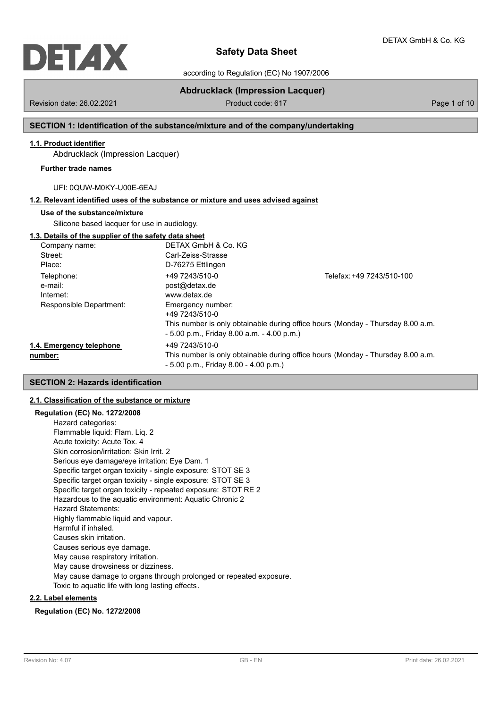

according to Regulation (EC) No 1907/2006

Revision date: 26.02.2021 **Product code: 617** Page 1 of 10

**Abdrucklack (Impression Lacquer)**

# **SECTION 1: Identification of the substance/mixture and of the company/undertaking**

# **1.1. Product identifier**

Abdrucklack (Impression Lacquer)

#### **Further trade names**

UFI: 0QUW-M0KY-U00E-6EAJ

# **1.2. Relevant identified uses of the substance or mixture and uses advised against**

#### **Use of the substance/mixture**

Silicone based lacquer for use in audiology.

### **1.3. Details of the supplier of the safety data sheet**

| Company name:                       | DETAX GmbH & Co. KG                                       |                                                                                 |
|-------------------------------------|-----------------------------------------------------------|---------------------------------------------------------------------------------|
| Street:                             | Carl-Zeiss-Strasse                                        |                                                                                 |
| Place:                              | D-76275 Ettlingen                                         |                                                                                 |
| Telephone:                          | +49 7243/510-0                                            | Telefax: +49 7243/510-100                                                       |
| e-mail:                             | post@detax.de                                             |                                                                                 |
| Internet:                           | www.detax.de                                              |                                                                                 |
| Responsible Department:             | Emergency number:<br>+49 7243/510-0                       |                                                                                 |
|                                     | $-5.00$ p.m., Friday 8.00 a.m. $-4.00$ p.m.)              | This number is only obtainable during office hours (Monday - Thursday 8.00 a.m. |
| 1.4. Emergency telephone<br>number: | +49 7243/510-0<br>$-5.00$ p.m., Friday 8.00 $-4.00$ p.m.) | This number is only obtainable during office hours (Monday - Thursday 8.00 a.m. |

#### **SECTION 2: Hazards identification**

### **2.1. Classification of the substance or mixture**

**Regulation (EC) No. 1272/2008** Hazard categories: Flammable liquid: Flam. Liq. 2 Acute toxicity: Acute Tox. 4 Skin corrosion/irritation: Skin Irrit. 2 Serious eye damage/eye irritation: Eye Dam. 1 Specific target organ toxicity - single exposure: STOT SE 3 Specific target organ toxicity - single exposure: STOT SE 3 Specific target organ toxicity - repeated exposure: STOT RE 2 Hazardous to the aquatic environment: Aquatic Chronic 2 Hazard Statements: Highly flammable liquid and vapour. Harmful if inhaled. Causes skin irritation. Causes serious eye damage. May cause respiratory irritation. May cause drowsiness or dizziness. May cause damage to organs through prolonged or repeated exposure. Toxic to aquatic life with long lasting effects.

# **2.2. Label elements**

**Regulation (EC) No. 1272/2008**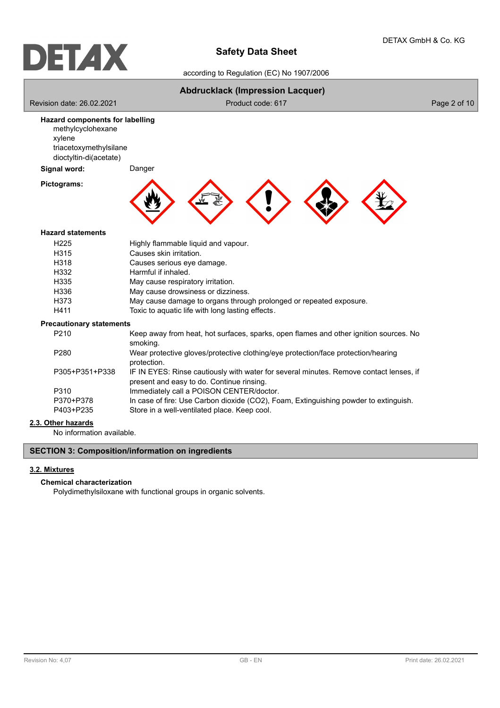

according to Regulation (EC) No 1907/2006

|                                                                                                                           | <b>Abdrucklack (Impression Lacquer)</b>                                                                                             |              |
|---------------------------------------------------------------------------------------------------------------------------|-------------------------------------------------------------------------------------------------------------------------------------|--------------|
| Revision date: 26.02.2021                                                                                                 | Product code: 617                                                                                                                   | Page 2 of 10 |
| <b>Hazard components for labelling</b><br>methylcyclohexane<br>xylene<br>triacetoxymethylsilane<br>dioctyltin-di(acetate) |                                                                                                                                     |              |
| Signal word:                                                                                                              | Danger                                                                                                                              |              |
| Pictograms:                                                                                                               |                                                                                                                                     |              |
| <b>Hazard statements</b>                                                                                                  |                                                                                                                                     |              |
| H225                                                                                                                      | Highly flammable liquid and vapour.                                                                                                 |              |
| H315                                                                                                                      | Causes skin irritation.                                                                                                             |              |
| H318                                                                                                                      | Causes serious eye damage.                                                                                                          |              |
| H332                                                                                                                      | Harmful if inhaled.                                                                                                                 |              |
| H335                                                                                                                      | May cause respiratory irritation.                                                                                                   |              |
| H336                                                                                                                      | May cause drowsiness or dizziness.                                                                                                  |              |
| H373                                                                                                                      | May cause damage to organs through prolonged or repeated exposure.                                                                  |              |
| H411                                                                                                                      | Toxic to aquatic life with long lasting effects.                                                                                    |              |
| <b>Precautionary statements</b>                                                                                           |                                                                                                                                     |              |
| P210                                                                                                                      | Keep away from heat, hot surfaces, sparks, open flames and other ignition sources. No<br>smoking.                                   |              |
| P280                                                                                                                      | Wear protective gloves/protective clothing/eye protection/face protection/hearing<br>protection.                                    |              |
| P305+P351+P338                                                                                                            | IF IN EYES: Rinse cautiously with water for several minutes. Remove contact lenses, if<br>present and easy to do. Continue rinsing. |              |
| P310                                                                                                                      | Immediately call a POISON CENTER/doctor.                                                                                            |              |
| P370+P378                                                                                                                 | In case of fire: Use Carbon dioxide (CO2), Foam, Extinguishing powder to extinguish.                                                |              |
| P403+P235                                                                                                                 | Store in a well-ventilated place. Keep cool.                                                                                        |              |

# **2.3. Other hazards**

No information available.

# **SECTION 3: Composition/information on ingredients**

# **3.2. Mixtures**

# **Chemical characterization**

Polydimethylsiloxane with functional groups in organic solvents.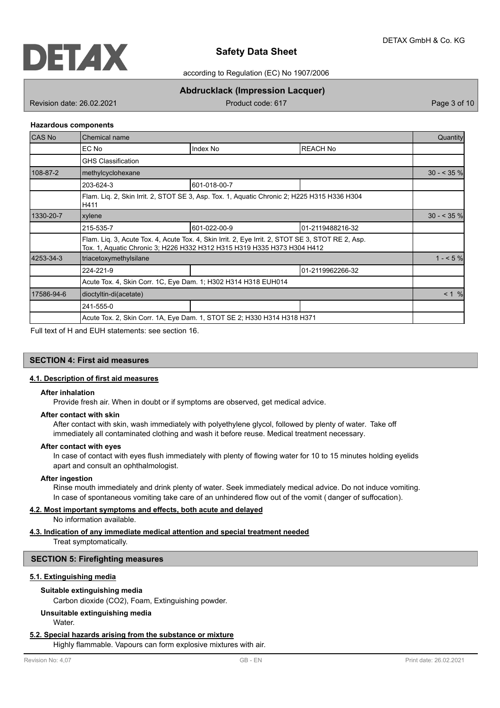

according to Regulation (EC) No 1907/2006

# **Abdrucklack (Impression Lacquer)**

Revision date: 26.02.2021 **Product code: 617** Product code: 617 **Page 3 of 10** 

#### **Hazardous components**

| <b>CAS No</b> | Chemical name                                                  |                                                                                                                                                                              |                   |              |  |  |
|---------------|----------------------------------------------------------------|------------------------------------------------------------------------------------------------------------------------------------------------------------------------------|-------------------|--------------|--|--|
|               | EC No                                                          | Index No                                                                                                                                                                     | REACH No          |              |  |  |
|               | <b>GHS Classification</b>                                      |                                                                                                                                                                              |                   |              |  |  |
| 108-87-2      | methylcyclohexane                                              |                                                                                                                                                                              |                   | $30 - 535$ % |  |  |
|               | 203-624-3                                                      | 601-018-00-7                                                                                                                                                                 |                   |              |  |  |
|               | H411                                                           | Flam. Lig. 2, Skin Irrit. 2, STOT SE 3, Asp. Tox. 1, Aquatic Chronic 2; H225 H315 H336 H304                                                                                  |                   |              |  |  |
| 1330-20-7     | xylene                                                         |                                                                                                                                                                              | $30 - 535$ %      |              |  |  |
|               | 215-535-7                                                      | 601-022-00-9                                                                                                                                                                 | 101-2119488216-32 |              |  |  |
|               |                                                                | Flam. Lig. 3, Acute Tox. 4, Acute Tox. 4, Skin Irrit. 2, Eye Irrit. 2, STOT SE 3, STOT RE 2, Asp.<br>Tox. 1, Aquatic Chronic 3; H226 H332 H312 H315 H319 H335 H373 H304 H412 |                   |              |  |  |
| 4253-34-3     | triacetoxymethylsilane                                         |                                                                                                                                                                              |                   | $1 - 5\%$    |  |  |
|               | 224-221-9                                                      |                                                                                                                                                                              | 01-2119962266-32  |              |  |  |
|               | Acute Tox. 4, Skin Corr. 1C, Eye Dam. 1; H302 H314 H318 EUH014 |                                                                                                                                                                              |                   |              |  |  |
| 17586-94-6    | dioctyltin-di(acetate)                                         |                                                                                                                                                                              |                   | $< 1$ %      |  |  |
|               | 241-555-0                                                      |                                                                                                                                                                              |                   |              |  |  |
|               |                                                                | Acute Tox. 2, Skin Corr. 1A, Eye Dam. 1, STOT SE 2; H330 H314 H318 H371                                                                                                      |                   |              |  |  |

Full text of H and EUH statements: see section 16.

# **SECTION 4: First aid measures**

### **4.1. Description of first aid measures**

#### **After inhalation**

Provide fresh air. When in doubt or if symptoms are observed, get medical advice.

#### **After contact with skin**

After contact with skin, wash immediately with polyethylene glycol, followed by plenty of water. Take off immediately all contaminated clothing and wash it before reuse. Medical treatment necessary.

#### **After contact with eyes**

In case of contact with eyes flush immediately with plenty of flowing water for 10 to 15 minutes holding eyelids apart and consult an ophthalmologist.

#### **After ingestion**

Rinse mouth immediately and drink plenty of water. Seek immediately medical advice. Do not induce vomiting. In case of spontaneous vomiting take care of an unhindered flow out of the vomit ( danger of suffocation).

#### **4.2. Most important symptoms and effects, both acute and delayed**

No information available.

#### **4.3. Indication of any immediate medical attention and special treatment needed**

Treat symptomatically.

# **SECTION 5: Firefighting measures**

# **5.1. Extinguishing media**

#### **Suitable extinguishing media**

Carbon dioxide (CO2), Foam, Extinguishing powder.

# **Unsuitable extinguishing media**

Water.

#### **5.2. Special hazards arising from the substance or mixture**

Highly flammable. Vapours can form explosive mixtures with air.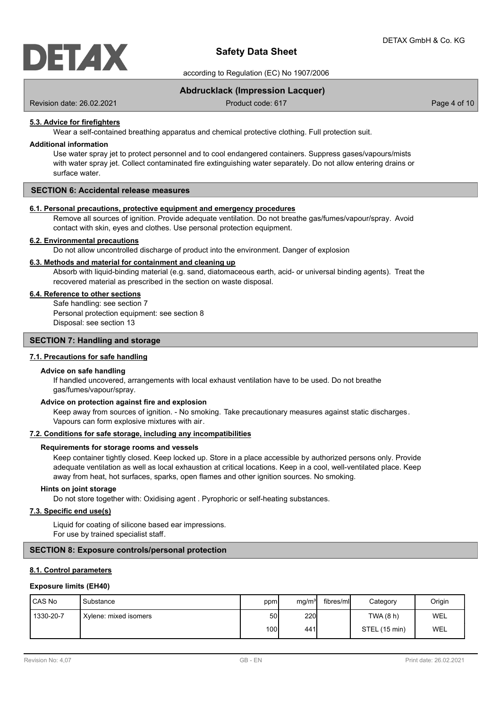

according to Regulation (EC) No 1907/2006

# **Abdrucklack (Impression Lacquer)**

Revision date: 26.02.2021 **Product code: 617** Product code: 617 **Page 4 of 10** Page 4 of 10

### **5.3. Advice for firefighters**

Wear a self-contained breathing apparatus and chemical protective clothing. Full protection suit.

#### **Additional information**

Use water spray jet to protect personnel and to cool endangered containers. Suppress gases/vapours/mists with water spray jet. Collect contaminated fire extinguishing water separately. Do not allow entering drains or surface water.

## **SECTION 6: Accidental release measures**

#### **6.1. Personal precautions, protective equipment and emergency procedures**

Remove all sources of ignition. Provide adequate ventilation. Do not breathe gas/fumes/vapour/spray. Avoid contact with skin, eyes and clothes. Use personal protection equipment.

#### **6.2. Environmental precautions**

Do not allow uncontrolled discharge of product into the environment. Danger of explosion

#### **6.3. Methods and material for containment and cleaning up**

Absorb with liquid-binding material (e.g. sand, diatomaceous earth, acid- or universal binding agents). Treat the recovered material as prescribed in the section on waste disposal.

#### **6.4. Reference to other sections**

Safe handling: see section 7 Personal protection equipment: see section 8 Disposal: see section 13

### **SECTION 7: Handling and storage**

# **7.1. Precautions for safe handling**

#### **Advice on safe handling**

If handled uncovered, arrangements with local exhaust ventilation have to be used. Do not breathe gas/fumes/vapour/spray.

#### **Advice on protection against fire and explosion**

Keep away from sources of ignition. - No smoking. Take precautionary measures against static discharges. Vapours can form explosive mixtures with air.

### **7.2. Conditions for safe storage, including any incompatibilities**

#### **Requirements for storage rooms and vessels**

Keep container tightly closed. Keep locked up. Store in a place accessible by authorized persons only. Provide adequate ventilation as well as local exhaustion at critical locations. Keep in a cool, well-ventilated place. Keep away from heat, hot surfaces, sparks, open flames and other ignition sources. No smoking.

#### **Hints on joint storage**

Do not store together with: Oxidising agent . Pyrophoric or self-heating substances.

### **7.3. Specific end use(s)**

Liquid for coating of silicone based ear impressions. For use by trained specialist staff.

## **SECTION 8: Exposure controls/personal protection**

### **8.1. Control parameters**

### **Exposure limits (EH40)**

| I CAS No  | l Substance           | ppm  | mg/m <sup>3</sup> | fibres/mll | Category      | Origin |
|-----------|-----------------------|------|-------------------|------------|---------------|--------|
| 1330-20-7 | Xylene: mixed isomers | 50 l | <b>220</b>        |            | TWA (8 h)     | WEL    |
|           |                       | 100I | 441I              |            | STEL (15 min) | WEL    |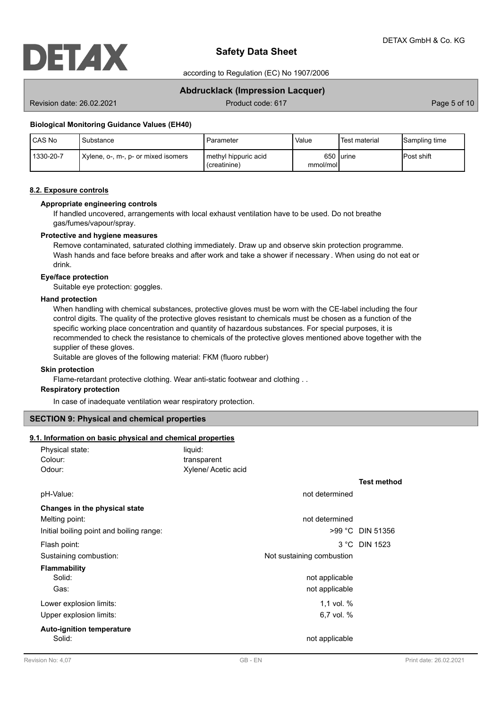

according to Regulation (EC) No 1907/2006

# **Abdrucklack (Impression Lacquer)**

Revision date: 26.02.2021 **Product code: 617** Product code: 617 **Page 5 of 10** Page 5 of 10

#### **Biological Monitoring Guidance Values (EH40)**

| <b>CAS No</b> | Substance                           | Parameter                            | Value    | 'Test material | Sampling time      |
|---------------|-------------------------------------|--------------------------------------|----------|----------------|--------------------|
| 1330-20-7     | Xylene, o-, m-, p- or mixed isomers | methyl hippuric acid<br>(creatinine) | mmol/mol | 650 lurine     | <b>IPost shift</b> |

### **8.2. Exposure controls**

#### **Appropriate engineering controls**

If handled uncovered, arrangements with local exhaust ventilation have to be used. Do not breathe gas/fumes/vapour/spray.

#### **Protective and hygiene measures**

Remove contaminated, saturated clothing immediately. Draw up and observe skin protection programme. Wash hands and face before breaks and after work and take a shower if necessary . When using do not eat or drink.

### **Eye/face protection**

Suitable eye protection: goggles.

#### **Hand protection**

When handling with chemical substances, protective gloves must be worn with the CE-label including the four control digits. The quality of the protective gloves resistant to chemicals must be chosen as a function of the specific working place concentration and quantity of hazardous substances. For special purposes, it is recommended to check the resistance to chemicals of the protective gloves mentioned above together with the supplier of these gloves.

Suitable are gloves of the following material: FKM (fluoro rubber)

#### **Skin protection**

Flame-retardant protective clothing. Wear anti-static footwear and clothing . .

## **Respiratory protection**

In case of inadequate ventilation wear respiratory protection.

## **SECTION 9: Physical and chemical properties**

### **9.1. Information on basic physical and chemical properties**

| Physical state:                            | liquid:                   |                    |
|--------------------------------------------|---------------------------|--------------------|
| Colour:                                    | transparent               |                    |
| Odour:                                     | Xylene/ Acetic acid       |                    |
|                                            |                           | <b>Test method</b> |
| pH-Value:                                  | not determined            |                    |
| Changes in the physical state              |                           |                    |
| Melting point:                             | not determined            |                    |
| Initial boiling point and boiling range:   |                           | >99 °C DIN 51356   |
| Flash point:                               |                           | 3 °C DIN 1523      |
| Sustaining combustion:                     | Not sustaining combustion |                    |
| <b>Flammability</b>                        |                           |                    |
| Solid:                                     | not applicable            |                    |
| Gas:                                       | not applicable            |                    |
| Lower explosion limits:                    | 1.1 vol. $%$              |                    |
| Upper explosion limits:                    | 6,7 vol. %                |                    |
| <b>Auto-ignition temperature</b><br>Solid: | not applicable            |                    |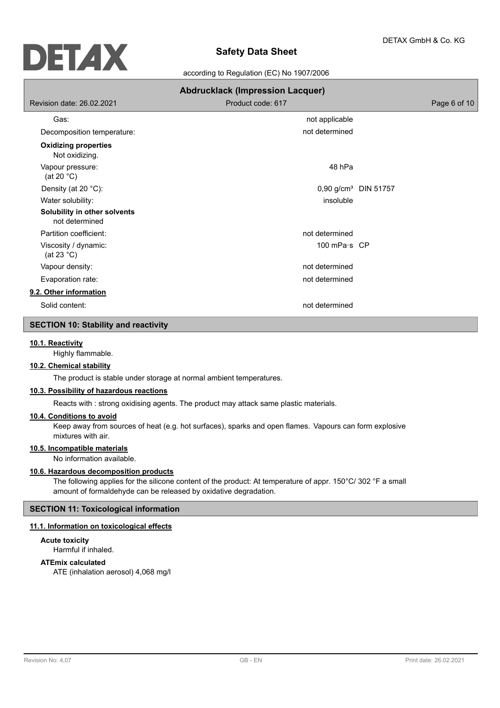

according to Regulation (EC) No 1907/2006

|                                                | <b>Abdrucklack (Impression Lacquer)</b> |              |
|------------------------------------------------|-----------------------------------------|--------------|
| Revision date: 26.02.2021                      | Product code: 617                       | Page 6 of 10 |
| Gas:                                           | not applicable                          |              |
| Decomposition temperature:                     | not determined                          |              |
| <b>Oxidizing properties</b><br>Not oxidizing.  |                                         |              |
| Vapour pressure:<br>(at 20 $°C$ )              | 48 hPa                                  |              |
| Density (at 20 °C):                            | 0,90 g/cm <sup>3</sup> DIN 51757        |              |
| Water solubility:                              | insoluble                               |              |
| Solubility in other solvents<br>not determined |                                         |              |
| Partition coefficient:                         | not determined                          |              |
| Viscosity / dynamic:<br>(at 23 $^{\circ}$ C)   | 100 mPa·s CP                            |              |
| Vapour density:                                | not determined                          |              |
| Evaporation rate:                              | not determined                          |              |
| 9.2. Other information                         |                                         |              |
| Solid content:                                 | not determined                          |              |

# **SECTION 10: Stability and reactivity**

# **10.1. Reactivity**

Highly flammable.

# **10.2. Chemical stability**

The product is stable under storage at normal ambient temperatures.

# **10.3. Possibility of hazardous reactions**

Reacts with : strong oxidising agents. The product may attack same plastic materials.

# **10.4. Conditions to avoid**

Keep away from sources of heat (e.g. hot surfaces), sparks and open flames. Vapours can form explosive mixtures with air.

# **10.5. Incompatible materials**

No information available.

#### **10.6. Hazardous decomposition products**

The following applies for the silicone content of the product: At temperature of appr. 150°C/ 302 °F a small amount of formaldehyde can be released by oxidative degradation.

# **SECTION 11: Toxicological information**

# **11.1. Information on toxicological effects**

# **Acute toxicity**

Harmful if inhaled.

# **ATEmix calculated**

ATE (inhalation aerosol) 4,068 mg/l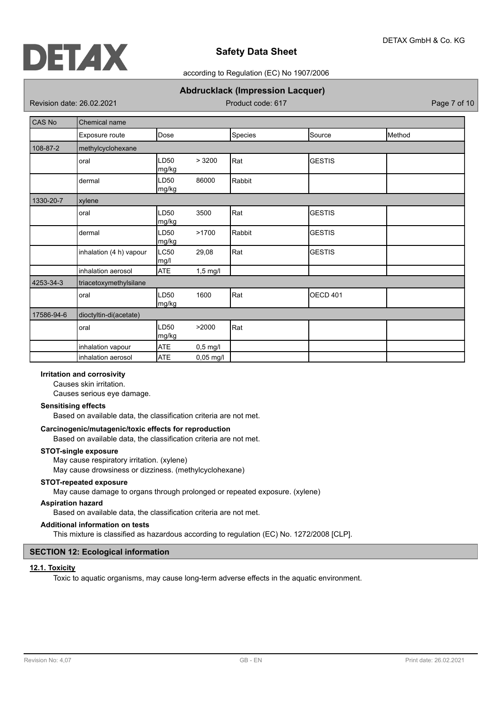

## according to Regulation (EC) No 1907/2006

# **Abdrucklack (Impression Lacquer)**

Revision date: 26.02.2021 **Product code: 617** Page 7 of 10

| <b>CAS No</b> | Chemical name           |               |            |         |                 |        |
|---------------|-------------------------|---------------|------------|---------|-----------------|--------|
|               | Exposure route          | Dose          |            | Species | Source          | Method |
| 108-87-2      | methylcyclohexane       |               |            |         |                 |        |
|               | oral                    | LD50<br>mg/kg | > 3200     | Rat     | <b>GESTIS</b>   |        |
|               | dermal                  | LD50<br>mg/kg | 86000      | Rabbit  |                 |        |
| 1330-20-7     | xylene                  |               |            |         |                 |        |
|               | oral                    | LD50<br>mg/kg | 3500       | Rat     | <b>GESTIS</b>   |        |
|               | dermal                  | LD50<br>mg/kg | >1700      | Rabbit  | <b>GESTIS</b>   |        |
|               | inhalation (4 h) vapour | LC50<br>mg/l  | 29,08      | Rat     | <b>GESTIS</b>   |        |
|               | inhalation aerosol      | <b>ATE</b>    | $1,5$ mg/l |         |                 |        |
| 4253-34-3     | triacetoxymethylsilane  |               |            |         |                 |        |
|               | oral                    | LD50<br>mg/kg | 1600       | Rat     | <b>OECD 401</b> |        |
| 17586-94-6    | dioctyltin-di(acetate)  |               |            |         |                 |        |
|               | oral                    | LD50<br>mg/kg | >2000      | Rat     |                 |        |
|               | inhalation vapour       | <b>ATE</b>    | $0,5$ mg/l |         |                 |        |
|               | inhalation aerosol      | <b>ATE</b>    | 0,05 mg/l  |         |                 |        |

# **Irritation and corrosivity**

Causes skin irritation.

Causes serious eye damage.

### **Sensitising effects**

Based on available data, the classification criteria are not met.

## **Carcinogenic/mutagenic/toxic effects for reproduction**

Based on available data, the classification criteria are not met.

#### **STOT-single exposure**

May cause respiratory irritation. (xylene)

May cause drowsiness or dizziness. (methylcyclohexane)

#### **STOT-repeated exposure**

May cause damage to organs through prolonged or repeated exposure. (xylene)

### **Aspiration hazard**

Based on available data, the classification criteria are not met.

# **Additional information on tests**

This mixture is classified as hazardous according to regulation (EC) No. 1272/2008 [CLP].

# **SECTION 12: Ecological information**

#### **12.1. Toxicity**

Toxic to aquatic organisms, may cause long-term adverse effects in the aquatic environment.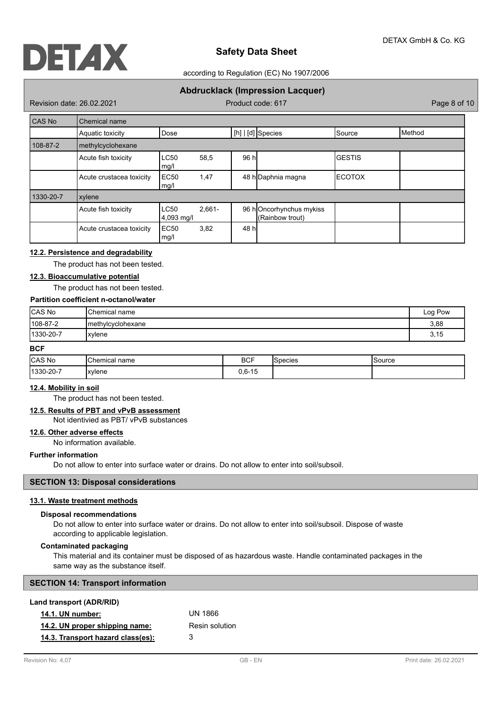

### according to Regulation (EC) No 1907/2006

# **Abdrucklack (Impression Lacquer)**

Revision date: 26.02.2021 **Product code: 617** Product code: 617 **Page 8 of 10** Page 8 of 10

| CAS No    | Chemical name            |                           |           |       |                                            |               |        |
|-----------|--------------------------|---------------------------|-----------|-------|--------------------------------------------|---------------|--------|
|           | Aquatic toxicity         | Dose                      |           |       | $[h]   [d]$ Species                        | Source        | Method |
| 108-87-2  | methylcyclohexane        |                           |           |       |                                            |               |        |
|           | Acute fish toxicity      | <b>LC50</b><br>mg/l       | 58,5      | 96 h  |                                            | <b>GESTIS</b> |        |
|           | Acute crustacea toxicity | EC <sub>50</sub><br>mg/l  | 1,47      |       | 48 h Daphnia magna                         | ΙΕCΟΤΟΧ       |        |
| 1330-20-7 | xylene                   |                           |           |       |                                            |               |        |
|           | Acute fish toxicity      | <b>LC50</b><br>4,093 mg/l | $2.661 -$ |       | 96 hOncorhynchus mykiss<br>(Rainbow trout) |               |        |
|           | Acute crustacea toxicity | EC <sub>50</sub><br>mg/l  | 3,82      | 48 hl |                                            |               |        |

# **12.2. Persistence and degradability**

The product has not been tested.

# **12.3. Bioaccumulative potential**

The product has not been tested.

# **Partition coefficient n-octanol/water**

| CAS No           | <b>Chemical name</b> | Log Pow |
|------------------|----------------------|---------|
| $ 108-87-2$      | Imethylcyclohexane   | 3,88    |
| $ 1330 - 20 - 7$ | xylene               | 3,15    |

# **BCF**

| <b>CAS No</b> | <b>Chemical</b> L<br>name<br>Temicar f | <b>BCF</b> | 'Snecies | Source |
|---------------|----------------------------------------|------------|----------|--------|
| 1330-20-7     | xylene                                 | $0,6-15$   |          |        |

### **12.4. Mobility in soil**

The product has not been tested.

# **12.5. Results of PBT and vPvB assessment**

Not identivied as PBT/ vPvB substances

# **12.6. Other adverse effects**

No information available.

### **Further information**

Do not allow to enter into surface water or drains. Do not allow to enter into soil/subsoil.

#### **SECTION 13: Disposal considerations**

# **13.1. Waste treatment methods**

#### **Disposal recommendations**

Do not allow to enter into surface water or drains. Do not allow to enter into soil/subsoil. Dispose of waste according to applicable legislation.

#### **Contaminated packaging**

This material and its container must be disposed of as hazardous waste. Handle contaminated packages in the same way as the substance itself.

| <b>SECTION 14: Transport information</b> |  |
|------------------------------------------|--|
| Land transport (ADR/RID)                 |  |

| <b>14.1. UN number:</b>           | UN 1866        |
|-----------------------------------|----------------|
| 14.2. UN proper shipping name:    | Resin solution |
| 14.3. Transport hazard class(es): | 3              |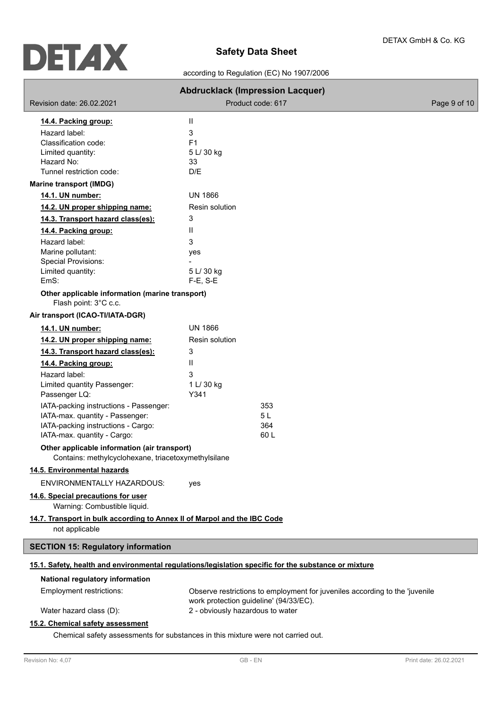according to Regulation (EC) No 1907/2006

|                                                                                                     | <b>Abdrucklack (Impression Lacquer)</b>                                                                               |              |
|-----------------------------------------------------------------------------------------------------|-----------------------------------------------------------------------------------------------------------------------|--------------|
| Revision date: 26.02.2021                                                                           | Product code: 617                                                                                                     | Page 9 of 10 |
| 14.4. Packing group:                                                                                | Ш                                                                                                                     |              |
| Hazard label:                                                                                       | 3                                                                                                                     |              |
| Classification code:                                                                                | F <sub>1</sub>                                                                                                        |              |
| Limited quantity:<br>Hazard No:                                                                     | 5 L/ 30 kg                                                                                                            |              |
| Tunnel restriction code:                                                                            | 33<br>D/E                                                                                                             |              |
| <b>Marine transport (IMDG)</b>                                                                      |                                                                                                                       |              |
| 14.1. UN number:                                                                                    | <b>UN 1866</b>                                                                                                        |              |
| 14.2. UN proper shipping name:                                                                      | Resin solution                                                                                                        |              |
| 14.3. Transport hazard class(es):                                                                   | 3                                                                                                                     |              |
| 14.4. Packing group:                                                                                | Ш                                                                                                                     |              |
| Hazard label:                                                                                       | 3                                                                                                                     |              |
| Marine pollutant:                                                                                   | yes                                                                                                                   |              |
| Special Provisions:                                                                                 |                                                                                                                       |              |
| Limited quantity:<br>EmS:                                                                           | 5 L/ 30 kg<br>F-E, S-E                                                                                                |              |
| Other applicable information (marine transport)<br>Flash point: 3°C c.c.                            |                                                                                                                       |              |
| Air transport (ICAO-TI/IATA-DGR)                                                                    |                                                                                                                       |              |
| 14.1. UN number:                                                                                    | <b>UN 1866</b>                                                                                                        |              |
| 14.2. UN proper shipping name:                                                                      | Resin solution                                                                                                        |              |
| 14.3. Transport hazard class(es):                                                                   | 3                                                                                                                     |              |
| 14.4. Packing group:                                                                                | Ш                                                                                                                     |              |
| Hazard label:                                                                                       | 3                                                                                                                     |              |
| Limited quantity Passenger:                                                                         | 1 L/ 30 kg                                                                                                            |              |
| Passenger LQ:                                                                                       | Y341                                                                                                                  |              |
| IATA-packing instructions - Passenger:                                                              | 353                                                                                                                   |              |
| IATA-max. quantity - Passenger:<br>IATA-packing instructions - Cargo:                               | 5 L<br>364                                                                                                            |              |
| IATA-max. quantity - Cargo:                                                                         | 60L                                                                                                                   |              |
| Other applicable information (air transport)<br>Contains: methylcyclohexane, triacetoxymethylsilane |                                                                                                                       |              |
| 14.5. Environmental hazards                                                                         |                                                                                                                       |              |
| ENVIRONMENTALLY HAZARDOUS:                                                                          | yes                                                                                                                   |              |
| 14.6. Special precautions for user<br>Warning: Combustible liquid.                                  |                                                                                                                       |              |
| 14.7. Transport in bulk according to Annex II of Marpol and the IBC Code<br>not applicable          |                                                                                                                       |              |
| <b>SECTION 15: Regulatory information</b>                                                           |                                                                                                                       |              |
|                                                                                                     | 15.1. Safety, health and environmental regulations/legislation specific for the substance or mixture                  |              |
| National regulatory information                                                                     |                                                                                                                       |              |
| Employment restrictions:                                                                            | Observe restrictions to employment for juveniles according to the 'juvenile<br>work protection guideline' (94/33/EC). |              |
| Water hazard class (D):                                                                             | 2 - obviously hazardous to water                                                                                      |              |
| 15.2. Chemical safety assessment                                                                    |                                                                                                                       |              |

Chemical safety assessments for substances in this mixture were not carried out.